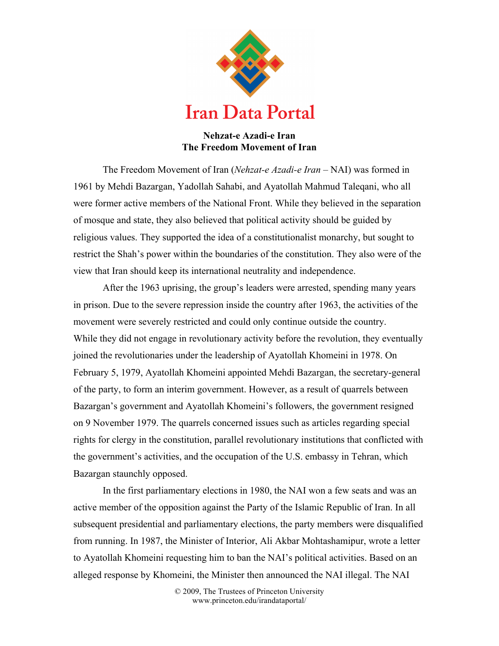

## **Nehzat-e Azadi-e Iran The Freedom Movement of Iran**

The Freedom Movement of Iran (*Nehzat-e Azadi-e Iran –* NAI) was formed in 1961 by Mehdi Bazargan, Yadollah Sahabi, and Ayatollah Mahmud Taleqani, who all were former active members of the National Front. While they believed in the separation of mosque and state, they also believed that political activity should be guided by religious values. They supported the idea of a constitutionalist monarchy, but sought to restrict the Shah's power within the boundaries of the constitution. They also were of the view that Iran should keep its international neutrality and independence.

After the 1963 uprising, the group's leaders were arrested, spending many years in prison. Due to the severe repression inside the country after 1963, the activities of the movement were severely restricted and could only continue outside the country. While they did not engage in revolutionary activity before the revolution, they eventually joined the revolutionaries under the leadership of Ayatollah Khomeini in 1978. On February 5, 1979, Ayatollah Khomeini appointed Mehdi Bazargan, the secretary-general of the party, to form an interim government. However, as a result of quarrels between Bazargan's government and Ayatollah Khomeini's followers, the government resigned on 9 November 1979. The quarrels concerned issues such as articles regarding special rights for clergy in the constitution, parallel revolutionary institutions that conflicted with the government's activities, and the occupation of the U.S. embassy in Tehran, which Bazargan staunchly opposed.

In the first parliamentary elections in 1980, the NAI won a few seats and was an active member of the opposition against the Party of the Islamic Republic of Iran. In all subsequent presidential and parliamentary elections, the party members were disqualified from running. In 1987, the Minister of Interior, Ali Akbar Mohtashamipur, wrote a letter to Ayatollah Khomeini requesting him to ban the NAI's political activities. Based on an alleged response by Khomeini, the Minister then announced the NAI illegal. The NAI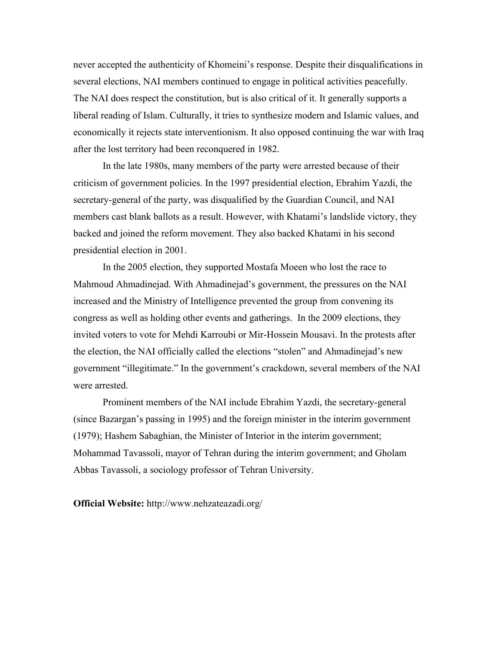never accepted the authenticity of Khomeini's response. Despite their disqualifications in several elections, NAI members continued to engage in political activities peacefully. The NAI does respect the constitution, but is also critical of it. It generally supports a liberal reading of Islam. Culturally, it tries to synthesize modern and Islamic values, and economically it rejects state interventionism. It also opposed continuing the war with Iraq after the lost territory had been reconquered in 1982.

In the late 1980s, many members of the party were arrested because of their criticism of government policies. In the 1997 presidential election, Ebrahim Yazdi, the secretary-general of the party, was disqualified by the Guardian Council, and NAI members cast blank ballots as a result. However, with Khatami's landslide victory, they backed and joined the reform movement. They also backed Khatami in his second presidential election in 2001.

In the 2005 election, they supported Mostafa Moeen who lost the race to Mahmoud Ahmadinejad. With Ahmadinejad's government, the pressures on the NAI increased and the Ministry of Intelligence prevented the group from convening its congress as well as holding other events and gatherings. In the 2009 elections, they invited voters to vote for Mehdi Karroubi or Mir-Hossein Mousavi. In the protests after the election, the NAI officially called the elections "stolen" and Ahmadinejad's new government "illegitimate." In the government's crackdown, several members of the NAI were arrested.

Prominent members of the NAI include Ebrahim Yazdi, the secretary-general (since Bazargan's passing in 1995) and the foreign minister in the interim government (1979); Hashem Sabaghian, the Minister of Interior in the interim government; Mohammad Tavassoli, mayor of Tehran during the interim government; and Gholam Abbas Tavassoli, a sociology professor of Tehran University.

**Official Website:** http://www.nehzateazadi.org/